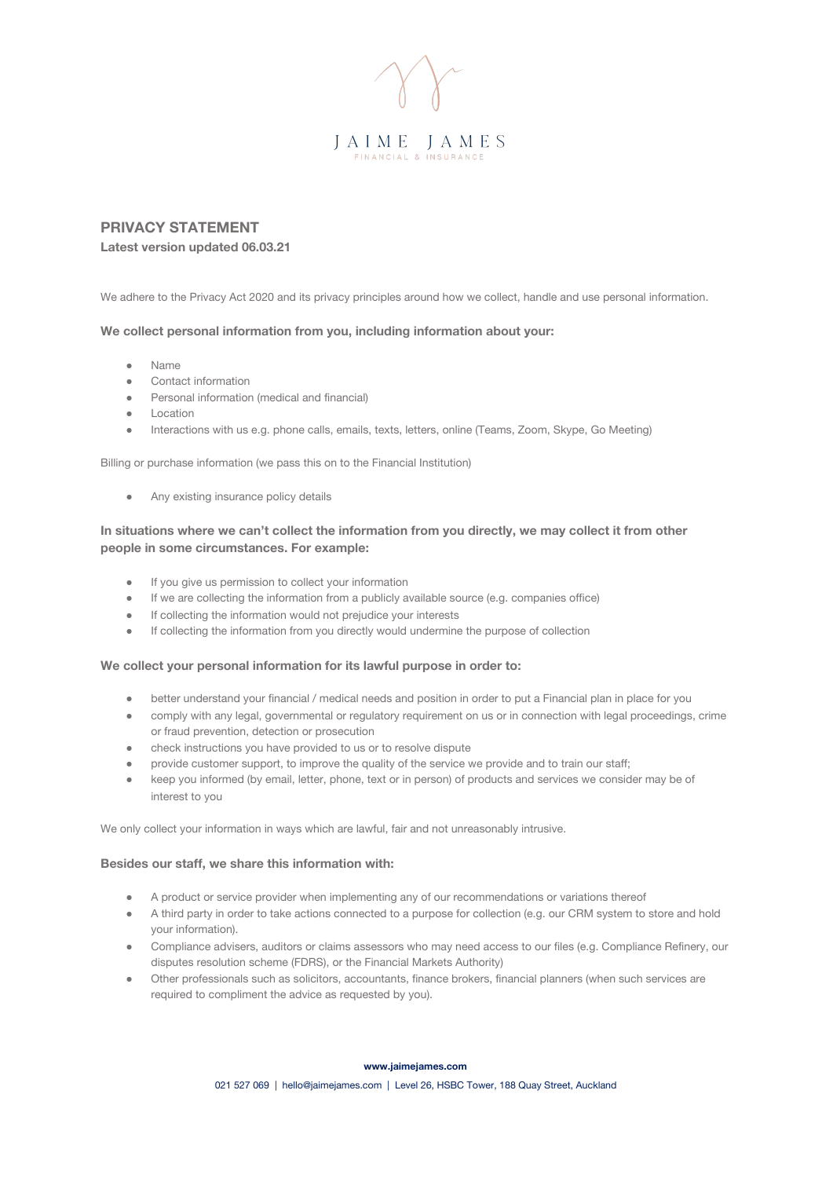

# **PRIVACY STATEMENT Latest version updated 06.03.21**

We adhere to the Privacy Act 2020 and its privacy principles around how we collect, handle and use personal information.

#### **We collect personal information from you, including information about your:**

- **Name**
- Contact information
- Personal information (medical and financial)
- Location
- Interactions with us e.g. phone calls, emails, texts, letters, online (Teams, Zoom, Skype, Go Meeting)

Billing or purchase information (we pass this on to the Financial Institution)

• Any existing insurance policy details

## **In situations where we can't collect the information from you directly, we may collect it from other people in some circumstances. For example:**

- If you give us permission to collect your information
- If we are collecting the information from a publicly available source (e.g. companies office)
- If collecting the information would not prejudice your interests
- If collecting the information from you directly would undermine the purpose of collection

#### **We collect your personal information for its lawful purpose in order to:**

- better understand your financial / medical needs and position in order to put a Financial plan in place for you
- comply with any legal, governmental or regulatory requirement on us or in connection with legal proceedings, crime or fraud prevention, detection or prosecution
- check instructions you have provided to us or to resolve dispute
- provide customer support, to improve the quality of the service we provide and to train our staff;
- keep you informed (by email, letter, phone, text or in person) of products and services we consider may be of interest to you

We only collect your information in ways which are lawful, fair and not unreasonably intrusive.

## **Besides our staff, we share this information with:**

- A product or service provider when implementing any of our recommendations or variations thereof
- A third party in order to take actions connected to a purpose for collection (e.g. our CRM system to store and hold your information).
- Compliance advisers, auditors or claims assessors who may need access to our files (e.g. Compliance Refinery, our disputes resolution scheme (FDRS), or the Financial Markets Authority)
- Other professionals such as solicitors, accountants, finance brokers, financial planners (when such services are required to compliment the advice as requested by you).

#### **www.jaimejames.com**

021 527 069 | hello@jaimejames.com | Level 26, HSBC Tower, 188 Quay Street, Auckland